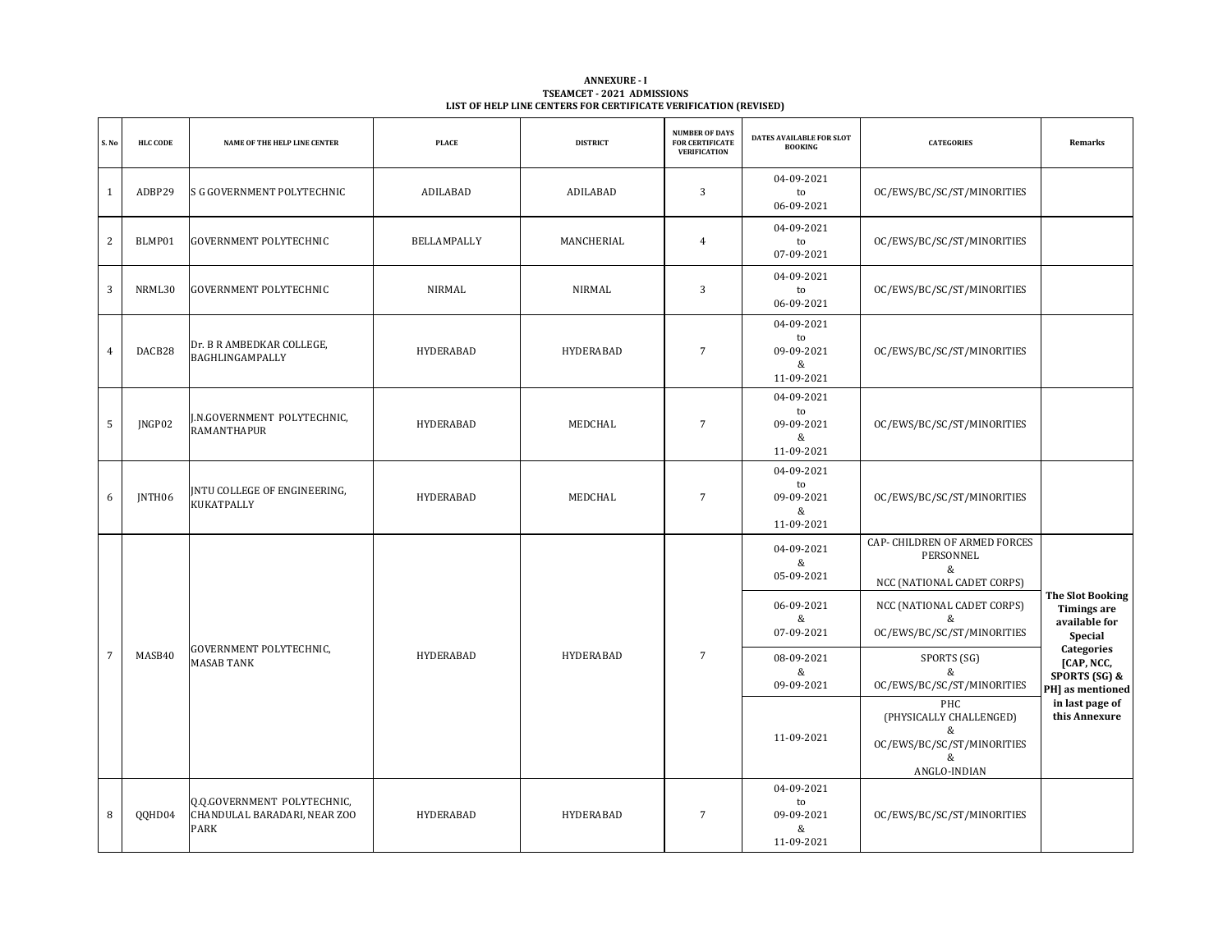| <b>ANNEXURE - I</b>                                              |  |
|------------------------------------------------------------------|--|
| <b>TSEAMCET - 2021 ADMISSIONS</b>                                |  |
| LIST OF HELP LINE CENTERS FOR CERTIFICATE VERIFICATION (REVISED) |  |

| S. No          | <b>HLC CODE</b> | NAME OF THE HELP LINE CENTER                                        | <b>PLACE</b>     | <b>DISTRICT</b>  | <b>NUMBER OF DAYS</b><br><b>FOR CERTIFICATE</b><br><b>VERIFICATION</b> | DATES AVAILABLE FOR SLOT<br><b>BOOKING</b>        | <b>CATEGORIES</b>                                                                      | Remarks                                                              |  |  |  |                               |                                                          |                                                                           |
|----------------|-----------------|---------------------------------------------------------------------|------------------|------------------|------------------------------------------------------------------------|---------------------------------------------------|----------------------------------------------------------------------------------------|----------------------------------------------------------------------|--|--|--|-------------------------------|----------------------------------------------------------|---------------------------------------------------------------------------|
| $\mathbf{1}$   | ADBP29          | S G GOVERNMENT POLYTECHNIC                                          | ADILABAD         | ADILABAD         | 3                                                                      | 04-09-2021<br>to<br>06-09-2021                    | OC/EWS/BC/SC/ST/MINORITIES                                                             |                                                                      |  |  |  |                               |                                                          |                                                                           |
| 2              | BLMP01          | <b>GOVERNMENT POLYTECHNIC</b>                                       | BELLAMPALLY      | MANCHERIAL       | $\overline{4}$                                                         | 04-09-2021<br>to<br>07-09-2021                    | OC/EWS/BC/SC/ST/MINORITIES                                                             |                                                                      |  |  |  |                               |                                                          |                                                                           |
| 3              | NRML30          | <b>GOVERNMENT POLYTECHNIC</b>                                       | NIRMAL           | NIRMAL           | 3                                                                      | 04-09-2021<br>to<br>06-09-2021                    | OC/EWS/BC/SC/ST/MINORITIES                                                             |                                                                      |  |  |  |                               |                                                          |                                                                           |
| $\overline{4}$ | DACB28          | Dr. B R AMBEDKAR COLLEGE,<br>BAGHLINGAMPALLY                        | HYDERABAD        | HYDERABAD        | $\overline{7}$                                                         | 04-09-2021<br>to<br>09-09-2021<br>&<br>11-09-2021 | OC/EWS/BC/SC/ST/MINORITIES                                                             |                                                                      |  |  |  |                               |                                                          |                                                                           |
| $\overline{5}$ | JNGP02          | J.N.GOVERNMENT POLYTECHNIC,<br>RAMANTHAPUR                          | <b>HYDERABAD</b> | MEDCHAL          | $\overline{7}$                                                         | 04-09-2021<br>to<br>09-09-2021<br>&<br>11-09-2021 | OC/EWS/BC/SC/ST/MINORITIES                                                             |                                                                      |  |  |  |                               |                                                          |                                                                           |
| 6              | <b>INTH06</b>   | <b>INTU COLLEGE OF ENGINEERING,</b><br>KUKATPALLY                   | HYDERABAD        | MEDCHAL          | $\overline{7}$                                                         | 04-09-2021<br>to<br>09-09-2021<br>&<br>11-09-2021 | OC/EWS/BC/SC/ST/MINORITIES                                                             |                                                                      |  |  |  |                               |                                                          |                                                                           |
|                |                 |                                                                     |                  |                  |                                                                        | 04-09-2021<br>&<br>05-09-2021                     | CAP- CHILDREN OF ARMED FORCES<br>PERSONNEL<br>&<br>NCC (NATIONAL CADET CORPS)          |                                                                      |  |  |  |                               |                                                          |                                                                           |
|                |                 |                                                                     |                  |                  |                                                                        |                                                   |                                                                                        |                                                                      |  |  |  | 06-09-2021<br>&<br>07-09-2021 | NCC (NATIONAL CADET CORPS)<br>OC/EWS/BC/SC/ST/MINORITIES | <b>The Slot Booking</b><br><b>Timings are</b><br>available for<br>Special |
| $\overline{7}$ | MASB40          | GOVERNMENT POLYTECHNIC,<br><b>MASAB TANK</b>                        | <b>HYDERABAD</b> | <b>HYDERABAD</b> | $\overline{7}$                                                         | 08-09-2021<br>&<br>09-09-2021                     | SPORTS (SG)<br>&<br>OC/EWS/BC/SC/ST/MINORITIES                                         | <b>Categories</b><br>[CAP, NCC,<br>SPORTS (SG) &<br>PH] as mentioned |  |  |  |                               |                                                          |                                                                           |
|                |                 |                                                                     |                  |                  |                                                                        | 11-09-2021                                        | PHC<br>(PHYSICALLY CHALLENGED)<br>&<br>OC/EWS/BC/SC/ST/MINORITIES<br>&<br>ANGLO-INDIAN | in last page of<br>this Annexure                                     |  |  |  |                               |                                                          |                                                                           |
| 8              | QQHD04          | Q.Q.GOVERNMENT POLYTECHNIC,<br>CHANDULAL BARADARI, NEAR ZOO<br>PARK | <b>HYDERABAD</b> | HYDERABAD        | $\overline{7}$                                                         | 04-09-2021<br>to<br>09-09-2021<br>&<br>11-09-2021 | OC/EWS/BC/SC/ST/MINORITIES                                                             |                                                                      |  |  |  |                               |                                                          |                                                                           |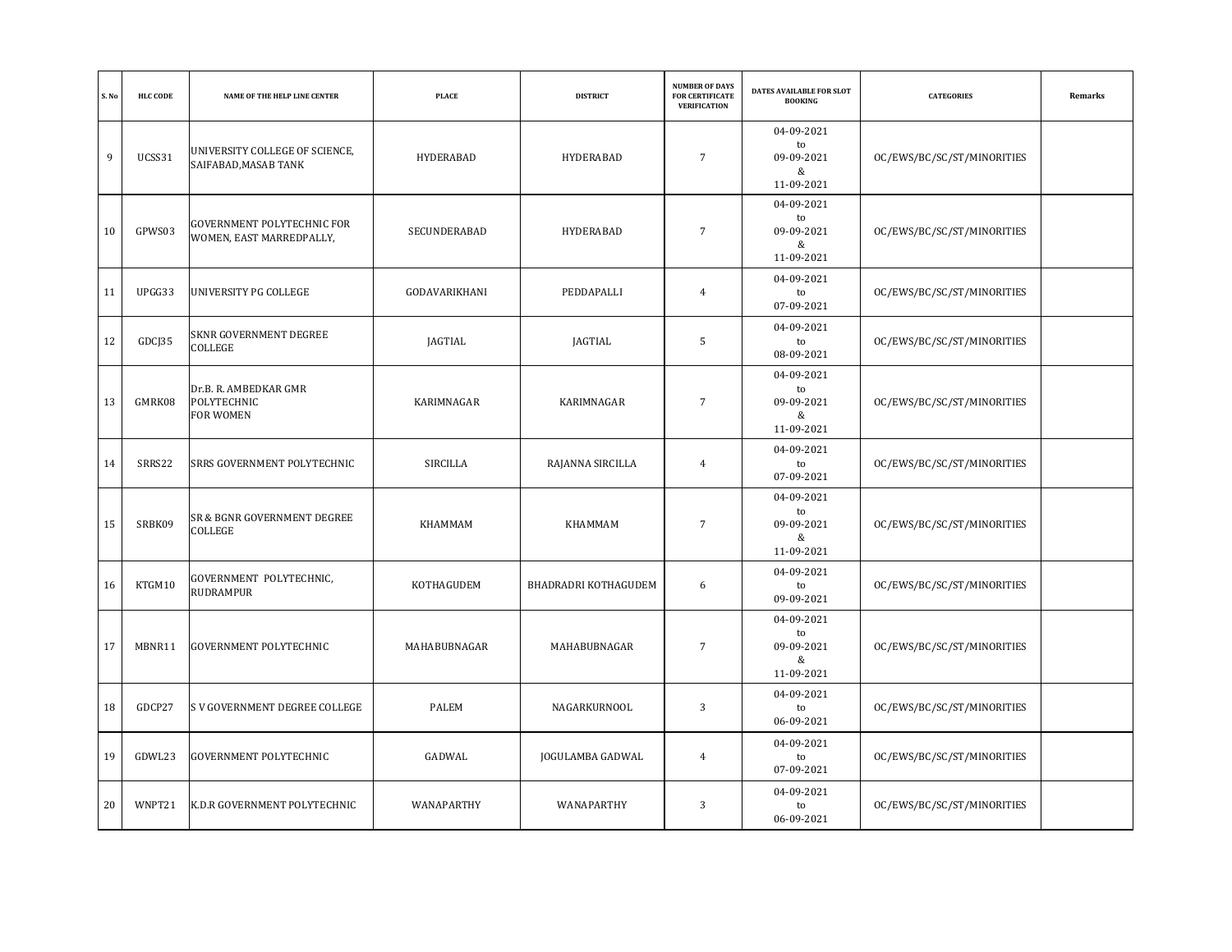| S. No | <b>HLC CODE</b> | NAME OF THE HELP LINE CENTER                                  | <b>PLACE</b>  | <b>DISTRICT</b>      | <b>NUMBER OF DAYS</b><br><b>FOR CERTIFICATE</b><br><b>VERIFICATION</b> | DATES AVAILABLE FOR SLOT<br><b>BOOKING</b>        | <b>CATEGORIES</b>          | Remarks |
|-------|-----------------|---------------------------------------------------------------|---------------|----------------------|------------------------------------------------------------------------|---------------------------------------------------|----------------------------|---------|
| 9     | UCSS31          | UNIVERSITY COLLEGE OF SCIENCE,<br>SAIFABAD, MASAB TANK        | HYDERABAD     | HYDERABAD            | 7                                                                      | 04-09-2021<br>to<br>09-09-2021<br>&<br>11-09-2021 | OC/EWS/BC/SC/ST/MINORITIES |         |
| 10    | GPWS03          | <b>GOVERNMENT POLYTECHNIC FOR</b><br>WOMEN, EAST MARREDPALLY, | SECUNDERABAD  | HYDERABAD            | $7\overline{ }$                                                        | 04-09-2021<br>to<br>09-09-2021<br>&<br>11-09-2021 | OC/EWS/BC/SC/ST/MINORITIES |         |
| 11    | UPGG33          | UNIVERSITY PG COLLEGE                                         | GODAVARIKHANI | PEDDAPALLI           | $\overline{4}$                                                         | 04-09-2021<br>to<br>07-09-2021                    | OC/EWS/BC/SC/ST/MINORITIES |         |
| 12    | GDCJ35          | SKNR GOVERNMENT DEGREE<br>COLLEGE                             | JAGTIAL       | JAGTIAL              | 5                                                                      | 04-09-2021<br>to<br>08-09-2021                    | OC/EWS/BC/SC/ST/MINORITIES |         |
| 13    | GMRK08          | Dr.B. R. AMBEDKAR GMR<br>POLYTECHNIC<br>FOR WOMEN             | KARIMNAGAR    | KARIMNAGAR           | $7\overline{ }$                                                        | 04-09-2021<br>to<br>09-09-2021<br>&<br>11-09-2021 | OC/EWS/BC/SC/ST/MINORITIES |         |
| 14    | SRRS22          | SRRS GOVERNMENT POLYTECHNIC                                   | SIRCILLA      | RAJANNA SIRCILLA     | $\overline{4}$                                                         | 04-09-2021<br>to<br>07-09-2021                    | OC/EWS/BC/SC/ST/MINORITIES |         |
| 15    | SRBK09          | SR & BGNR GOVERNMENT DEGREE<br>COLLEGE                        | KHAMMAM       | KHAMMAM              | 7                                                                      | 04-09-2021<br>to<br>09-09-2021<br>&<br>11-09-2021 | OC/EWS/BC/SC/ST/MINORITIES |         |
| 16    | KTGM10          | GOVERNMENT POLYTECHNIC,<br><b>RUDRAMPUR</b>                   | KOTHAGUDEM    | BHADRADRI KOTHAGUDEM | 6                                                                      | 04-09-2021<br>to<br>09-09-2021                    | OC/EWS/BC/SC/ST/MINORITIES |         |
| 17    | MBNR11          | <b>GOVERNMENT POLYTECHNIC</b>                                 | MAHABUBNAGAR  | MAHABUBNAGAR         | $\sqrt{7}$                                                             | 04-09-2021<br>to<br>09-09-2021<br>&<br>11-09-2021 | OC/EWS/BC/SC/ST/MINORITIES |         |
| 18    | GDCP27          | S V GOVERNMENT DEGREE COLLEGE                                 | <b>PALEM</b>  | NAGARKURNOOL         | 3                                                                      | 04-09-2021<br>to<br>06-09-2021                    | OC/EWS/BC/SC/ST/MINORITIES |         |
| 19    | GDWL23          | <b>GOVERNMENT POLYTECHNIC</b>                                 | GADWAL        | JOGULAMBA GADWAL     | $\overline{4}$                                                         | 04-09-2021<br>to<br>07-09-2021                    | OC/EWS/BC/SC/ST/MINORITIES |         |
| 20    | WNPT21          | K.D.R GOVERNMENT POLYTECHNIC                                  | WANAPARTHY    | WANAPARTHY           | 3                                                                      | 04-09-2021<br>to<br>06-09-2021                    | OC/EWS/BC/SC/ST/MINORITIES |         |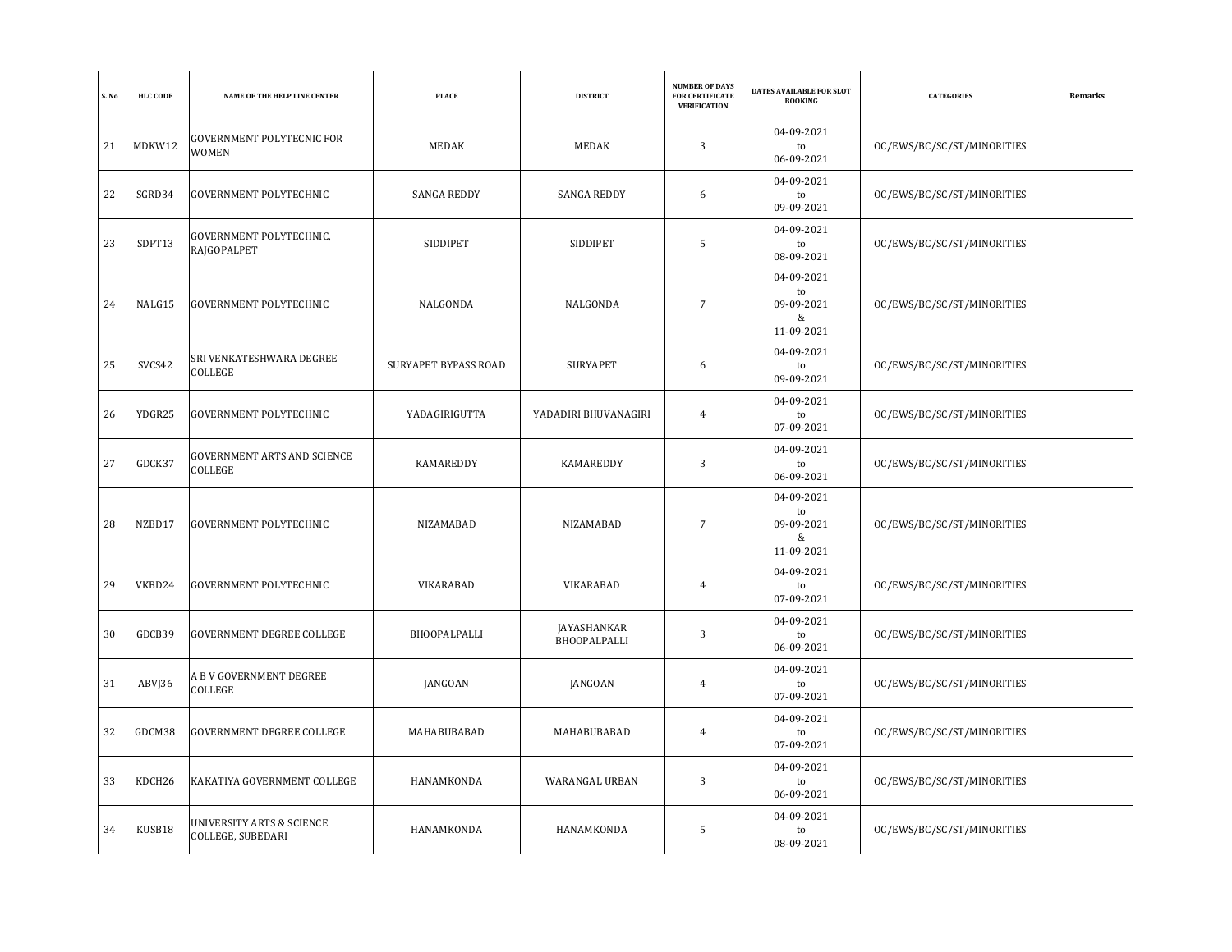| S. No | <b>HLC CODE</b> | NAME OF THE HELP LINE CENTER                   | <b>PLACE</b>                | <b>DISTRICT</b>             | <b>NUMBER OF DAYS</b><br><b>FOR CERTIFICATE</b><br><b>VERIFICATION</b> | DATES AVAILABLE FOR SLOT<br><b>BOOKING</b>        | <b>CATEGORIES</b>          | Remarks |
|-------|-----------------|------------------------------------------------|-----------------------------|-----------------------------|------------------------------------------------------------------------|---------------------------------------------------|----------------------------|---------|
| 21    | MDKW12          | <b>GOVERNMENT POLYTECNIC FOR</b><br>WOMEN      | MEDAK                       | MEDAK                       | 3                                                                      | 04-09-2021<br>to<br>06-09-2021                    | OC/EWS/BC/SC/ST/MINORITIES |         |
| 22    | SGRD34          | <b>GOVERNMENT POLYTECHNIC</b>                  | <b>SANGA REDDY</b>          | <b>SANGA REDDY</b>          | 6                                                                      | 04-09-2021<br>to<br>09-09-2021                    | OC/EWS/BC/SC/ST/MINORITIES |         |
| 23    | SDPT13          | GOVERNMENT POLYTECHNIC,<br>RAJGOPALPET         | SIDDIPET                    | SIDDIPET                    | 5                                                                      | 04-09-2021<br>to<br>08-09-2021                    | OC/EWS/BC/SC/ST/MINORITIES |         |
| 24    | NALG15          | GOVERNMENT POLYTECHNIC                         | NALGONDA                    | NALGONDA                    | $7\overline{ }$                                                        | 04-09-2021<br>to<br>09-09-2021<br>&<br>11-09-2021 | OC/EWS/BC/SC/ST/MINORITIES |         |
| 25    | SVCS42          | SRI VENKATESHWARA DEGREE<br>COLLEGE            | <b>SURYAPET BYPASS ROAD</b> | <b>SURYAPET</b>             | 6                                                                      | 04-09-2021<br>to<br>09-09-2021                    | OC/EWS/BC/SC/ST/MINORITIES |         |
| 26    | YDGR25          | <b>GOVERNMENT POLYTECHNIC</b>                  | YADAGIRIGUTTA               | YADADIRI BHUVANAGIRI        | $\overline{4}$                                                         | 04-09-2021<br>to<br>07-09-2021                    | OC/EWS/BC/SC/ST/MINORITIES |         |
| 27    | GDCK37          | GOVERNMENT ARTS AND SCIENCE<br>COLLEGE         | KAMAREDDY                   | <b>KAMAREDDY</b>            | 3                                                                      | 04-09-2021<br>to<br>06-09-2021                    | OC/EWS/BC/SC/ST/MINORITIES |         |
| 28    | NZBD17          | <b>GOVERNMENT POLYTECHNIC</b>                  | NIZAMABAD                   | NIZAMABAD                   | $\overline{7}$                                                         | 04-09-2021<br>to<br>09-09-2021<br>&<br>11-09-2021 | OC/EWS/BC/SC/ST/MINORITIES |         |
| 29    | VKBD24          | GOVERNMENT POLYTECHNIC                         | VIKARABAD                   | VIKARABAD                   | $\overline{4}$                                                         | 04-09-2021<br>to<br>07-09-2021                    | OC/EWS/BC/SC/ST/MINORITIES |         |
| 30    | GDCB39          | GOVERNMENT DEGREE COLLEGE                      | <b>BHOOPALPALLI</b>         | JAYASHANKAR<br>BHOOPALPALLI | 3                                                                      | 04-09-2021<br>to<br>06-09-2021                    | OC/EWS/BC/SC/ST/MINORITIES |         |
| 31    | ABVJ36          | A B V GOVERNMENT DEGREE<br>COLLEGE             | JANGOAN                     | JANGOAN                     | $\overline{4}$                                                         | 04-09-2021<br>to<br>07-09-2021                    | OC/EWS/BC/SC/ST/MINORITIES |         |
| 32    | GDCM38          | GOVERNMENT DEGREE COLLEGE                      | MAHABUBABAD                 | MAHABUBABAD                 | $\overline{4}$                                                         | 04-09-2021<br>to<br>07-09-2021                    | OC/EWS/BC/SC/ST/MINORITIES |         |
| 33    | KDCH26          | KAKATIYA GOVERNMENT COLLEGE                    | HANAMKONDA                  | WARANGAL URBAN              | 3                                                                      | 04-09-2021<br>to<br>06-09-2021                    | OC/EWS/BC/SC/ST/MINORITIES |         |
| 34    | KUSB18          | UNIVERSITY ARTS & SCIENCE<br>COLLEGE, SUBEDARI | HANAMKONDA                  | HANAMKONDA                  | 5                                                                      | 04-09-2021<br>to<br>08-09-2021                    | OC/EWS/BC/SC/ST/MINORITIES |         |